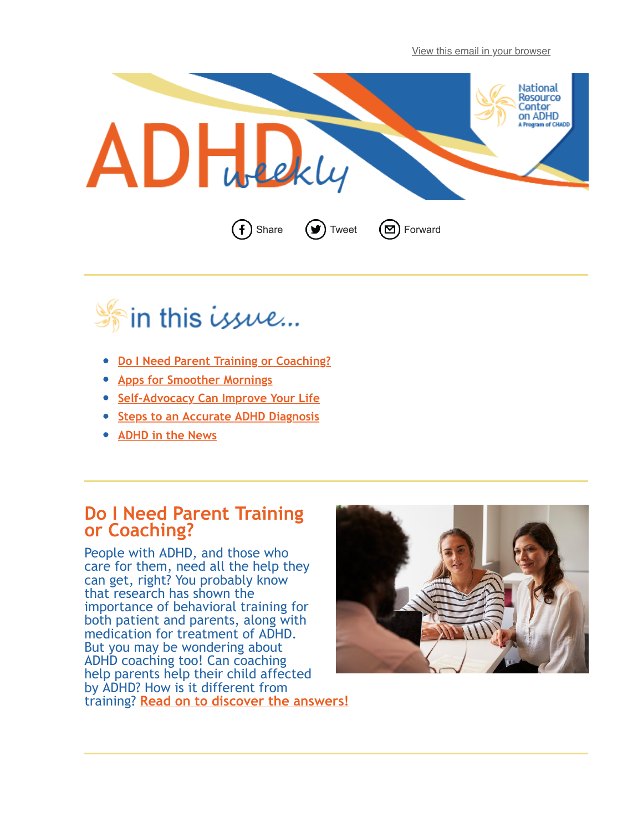[View this email in your browser](http://us12.campaign-archive2.com/?e=%5BUNIQID%5D&u=aa3660aaf906df7538e23b92e&id=b01def64e6)





- **[Do I Need Parent Training or Coaching?](#page-0-0)**
- **[Apps for Smoother Mornings](#page-1-0)**
- **[Self-Advocacy Can Improve Your Life](#page-1-1)**
- **[Steps to an Accurate ADHD Diagnosis](#page-1-2)**
- **[ADHD in the News](#page-2-0)**

## **Do I Need Parent Training or Coaching?**

<span id="page-0-0"></span>People with ADHD, and those who care for them, need all the help they can get, right? You probably know that research has shown the importance of behavioral training for both patient and parents, along with medication for treatment of ADHD. But you may be wondering about ADHD coaching too! Can coaching help parents help their child affected by ADHD? How is it different from training? **[Read on to discover the answers!](http://www.chadd.org/Understanding-ADHD/About-ADHD/ADHD-Weekly-Archive/Newsletter-Article.aspx?id=256)**

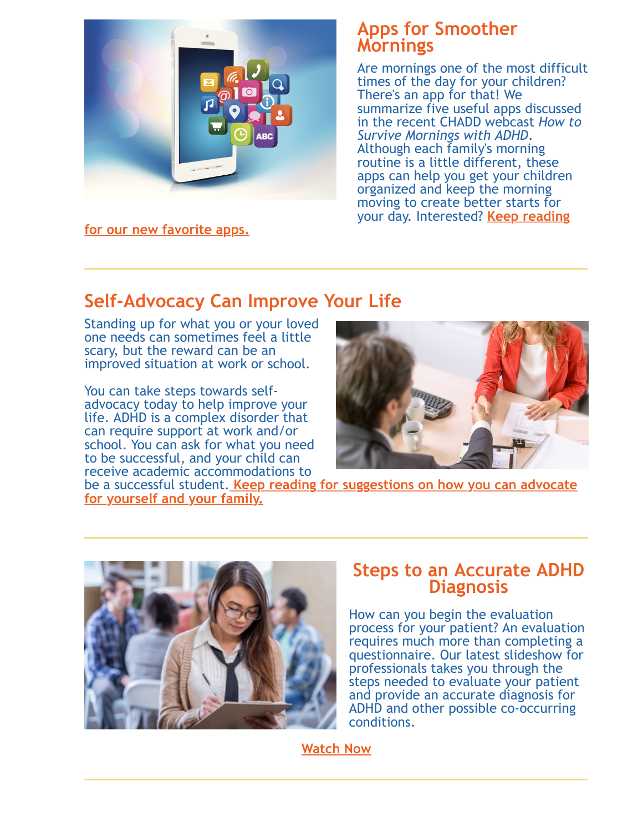<span id="page-1-0"></span>

**[for our new favorite apps.](http://www.chadd.org/Understanding-ADHD/About-ADHD/ADHD-Weekly-Archive/Newsletter-Article.aspx?id=252)**

## **Apps for Smoother Mornings**

Are mornings one of the most difficult times of the day for your children? There's an app for that! We summarize five useful apps discussed in the recent CHADD webcast *How to Survive Mornings with ADHD*. Although each family's morning routine is a little different, these apps can help you get your children organized and keep the morning moving to create better starts for your day. Interested? **Keep reading**

## **Self-Advocacy Can Improve Your Life**

Standing up for what you or your loved one needs can sometimes feel a little scary, but the reward can be an improved situation at work or school.

You can take steps towards selfadvocacy today to help improve your life. ADHD is a complex disorder that can require support at work and/or school. You can ask for what you need to be successful, and your child can receive academic accommodations to

<span id="page-1-1"></span>

be a successful student. **[Keep reading for suggestions on how you can advocate](http://www.chadd.org/Understanding-ADHD/About-ADHD/ADHD-Weekly-Archive/Newsletter-Article.aspx?id=253) for yourself and your family.**



## <span id="page-1-2"></span>**Steps to an Accurate ADHD Diagnosis**

How can you begin the evaluation process for your patient? An evaluation requires much more than completing a questionnaire. Our latest slideshow for professionals takes you through the steps needed to evaluate your patient and provide an accurate diagnosis for ADHD and other possible co-occurring conditions.

**[Watch Now](http://www.chadd.org/Understanding-ADHD/For-Professionals/For-Healthcare-Professionals/Diagnosis-Slideshow.aspx)**